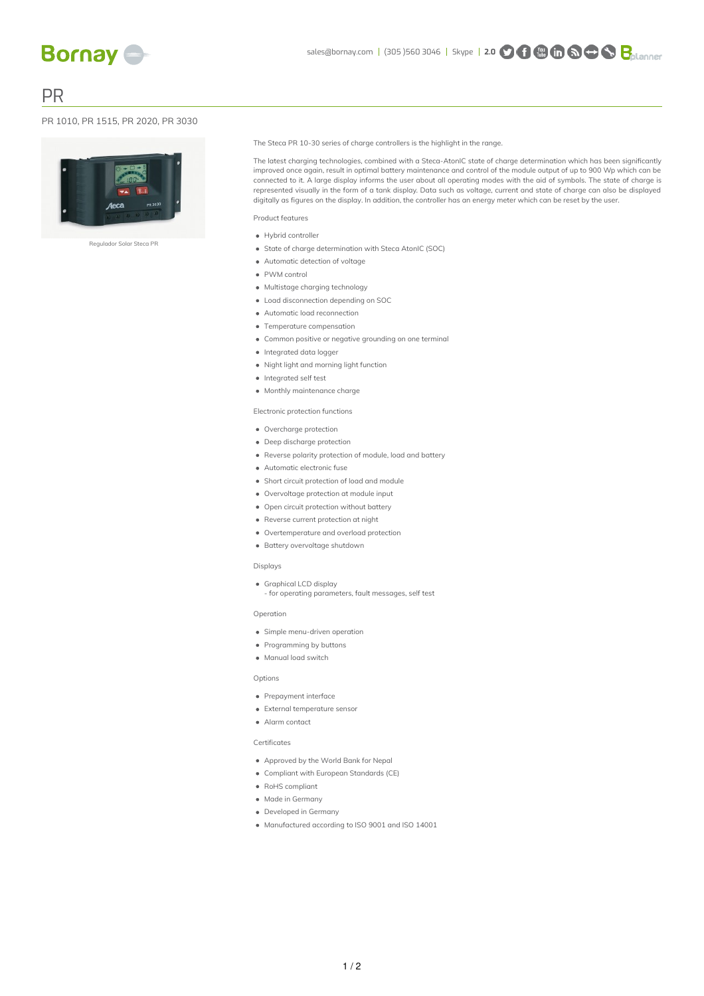PR

### PR 1010, PR 1515, PR 2020, PR 3030



Regulador Solar Steca PR

The Steca PR 10-30 series of charge controllers is the highlight in the range.

The latest charging technologies, combined with a Steca-AtonIC state of charge determination which has been significantly improved once again, result in optimal battery maintenance and control of the module output of up to 900 Wp which can be connected to it. A large display informs the user about all operating modes with the aid of symbols. The state of charge is represented visually in the form of a tank display. Data such as voltage, current and state of charge can also be displayed digitally as figures on the display. In addition, the controller has an energy meter which can be reset by the user.

Product features

- Hybrid controller
- State of charge determination with Steca AtonIC (SOC)
- Automatic detection of voltage
- PWM control
- $\bullet$  Multistage charging technology
- Load disconnection depending on SOC
- Automatic load reconnection
- Temperature compensation
- Common positive or negative grounding on one terminal
- Integrated data logger
- Night light and morning light function
- Integrated self test
- $\bullet$  Monthly maintenance charge

### Electronic protection functions

- Overcharge protection
- Deep discharge protection
- Reverse polarity protection of module, load and battery
- Automatic electronic fuse
- Short circuit protection of load and module
- Overvoltage protection at module input
- Open circuit protection without battery
- Reverse current protection at night
- Overtemperature and overload protection
- Battery overvoltage shutdown

#### Displays

- Graphical LCD display
	- for operating parameters, fault messages, self test

#### Operation

- Simple menu-driven operation
- Programming by buttons
- Manual load switch

#### **Options**

- Prepayment interface
- External temperature sensor
- Alarm contact

#### Certificates

- Approved by the World Bank for Nepal
- Compliant with European Standards (CE)
- RoHS compliant
- Made in Germany
- Developed in Germany
- Manufactured according to ISO 9001 and ISO 14001